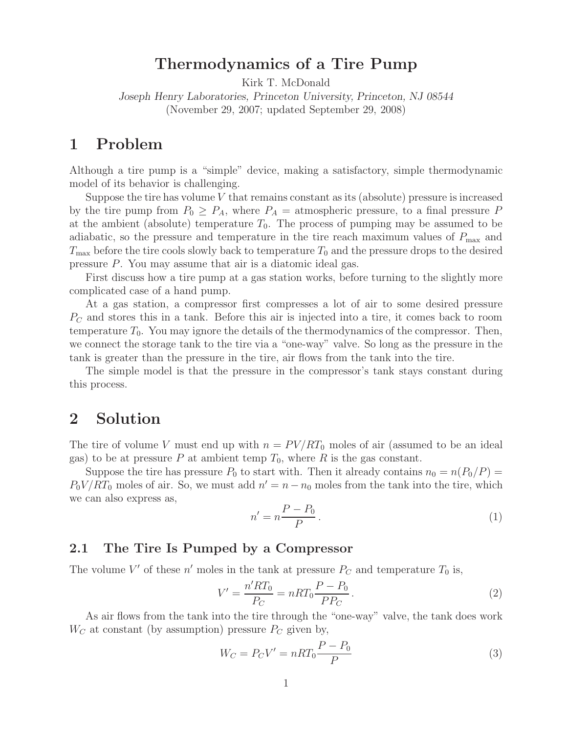# **Thermodynamics of a Tire Pump**

Kirk T. McDonald

*Joseph Henry Laboratories, Princeton University, Princeton, NJ 08544* (November 29, 2007; updated September 29, 2008)

## **1 Problem**

Although a tire pump is a "simple" device, making a satisfactory, simple thermodynamic model of its behavior is challenging.

Suppose the tire has volume  $V$  that remains constant as its (absolute) pressure is increased by the tire pump from  $P_0 \geq P_A$ , where  $P_A =$  atmospheric pressure, to a final pressure P at the ambient (absolute) temperature  $T_0$ . The process of pumping may be assumed to be adiabatic, so the pressure and temperature in the tire reach maximum values of  $P_{\text{max}}$  and  $T_{\text{max}}$  before the tire cools slowly back to temperature  $T_0$  and the pressure drops to the desired pressure P. You may assume that air is a diatomic ideal gas.

First discuss how a tire pump at a gas station works, before turning to the slightly more complicated case of a hand pump.

At a gas station, a compressor first compresses a lot of air to some desired pressure  $P<sub>C</sub>$  and stores this in a tank. Before this air is injected into a tire, it comes back to room temperature  $T_0$ . You may ignore the details of the thermodynamics of the compressor. Then, we connect the storage tank to the tire via a "one-way" valve. So long as the pressure in the tank is greater than the pressure in the tire, air flows from the tank into the tire.

The simple model is that the pressure in the compressor's tank stays constant during this process.

### **2 Solution**

The tire of volume V must end up with  $n = PV/RT_0$  moles of air (assumed to be an ideal gas) to be at pressure P at ambient temp  $T_0$ , where R is the gas constant.

Suppose the tire has pressure  $P_0$  to start with. Then it already contains  $n_0 = n(P_0/P)$  $P_0V/RT_0$  moles of air. So, we must add  $n' = n - n_0$  moles from the tank into the tire, which we can also express as,

$$
n' = n \frac{P - P_0}{P} \,. \tag{1}
$$

### **2.1 The Tire Is Pumped by a Compressor**

The volume V' of these  $n'$  moles in the tank at pressure  $P_C$  and temperature  $T_0$  is,

$$
V' = \frac{n'RT_0}{P_C} = nRT_0 \frac{P - P_0}{PP_C}.
$$
\n(2)

As air flows from the tank into the tire through the "one-way" valve, the tank does work  $W_C$  at constant (by assumption) pressure  $P_C$  given by,

$$
W_C = P_C V' = nRT_0 \frac{P - P_0}{P}
$$
\n
$$
\tag{3}
$$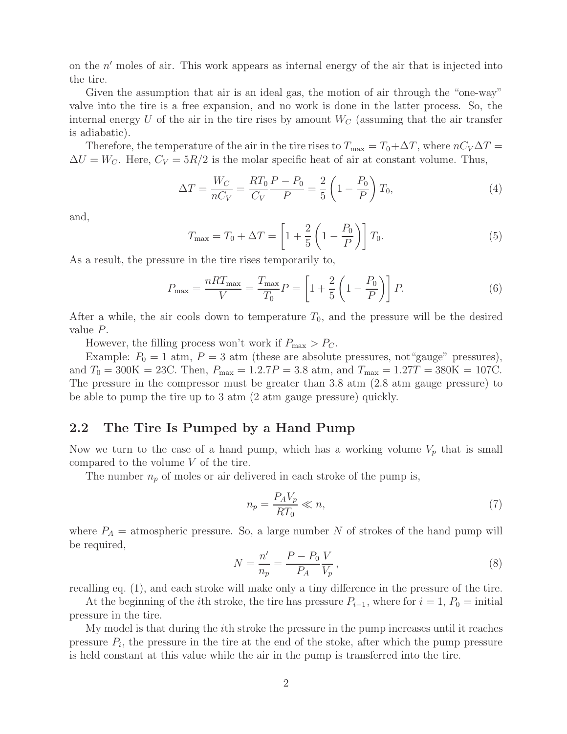on the  $n'$  moles of air. This work appears as internal energy of the air that is injected into the tire.

Given the assumption that air is an ideal gas, the motion of air through the "one-way" valve into the tire is a free expansion, and no work is done in the latter process. So, the internal energy U of the air in the tire rises by amount  $W_C$  (assuming that the air transfer is adiabatic).

Therefore, the temperature of the air in the tire rises to  $T_{\text{max}} = T_0 + \Delta T$ , where  $nC_V\Delta T =$  $\Delta U = W_C$ . Here,  $C_V = 5R/2$  is the molar specific heat of air at constant volume. Thus,

$$
\Delta T = \frac{W_C}{nC_V} = \frac{RT_0}{C_V} \frac{P - P_0}{P} = \frac{2}{5} \left( 1 - \frac{P_0}{P} \right) T_0,\tag{4}
$$

and,

$$
T_{\text{max}} = T_0 + \Delta T = \left[1 + \frac{2}{5} \left(1 - \frac{P_0}{P}\right)\right] T_0.
$$
 (5)

As a result, the pressure in the tire rises temporarily to,

$$
P_{\text{max}} = \frac{nRT_{\text{max}}}{V} = \frac{T_{\text{max}}}{T_0}P = \left[1 + \frac{2}{5}\left(1 - \frac{P_0}{P}\right)\right]P.
$$
 (6)

After a while, the air cools down to temperature  $T_0$ , and the pressure will be the desired value P.

However, the filling process won't work if  $P_{\text{max}} > P_{\text{C}}$ .

Example:  $P_0 = 1$  atm,  $P = 3$  atm (these are absolute pressures, not "gauge" pressures), and  $T_0 = 300K = 23C$ . Then,  $P_{\text{max}} = 1.2.7P = 3.8$  atm, and  $T_{\text{max}} = 1.27T = 380K = 107C$ . The pressure in the compressor must be greater than 3.8 atm (2.8 atm gauge pressure) to be able to pump the tire up to 3 atm (2 atm gauge pressure) quickly.

#### **2.2 The Tire Is Pumped by a Hand Pump**

Now we turn to the case of a hand pump, which has a working volume  $V_p$  that is small compared to the volume  $V$  of the tire.

The number  $n_p$  of moles or air delivered in each stroke of the pump is,

$$
n_p = \frac{P_A V_p}{RT_0} \ll n,\tag{7}
$$

where  $P_A =$  atmospheric pressure. So, a large number N of strokes of the hand pump will be required,

$$
N = \frac{n'}{n_p} = \frac{P - P_0 V}{P_A V_p},
$$
\n(8)

recalling eq. (1), and each stroke will make only a tiny difference in the pressure of the tire.

At the beginning of the *i*th stroke, the tire has pressure  $P_{i-1}$ , where for  $i = 1, P_0 =$  initial pressure in the tire.

My model is that during the ith stroke the pressure in the pump increases until it reaches pressure  $P_i$ , the pressure in the tire at the end of the stoke, after which the pump pressure is held constant at this value while the air in the pump is transferred into the tire.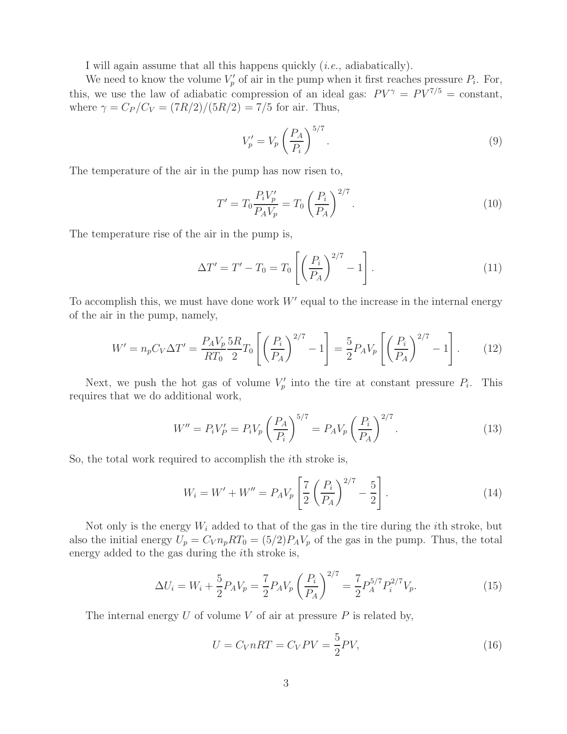I will again assume that all this happens quickly (*i.e.*, adiabatically).

We need to know the volume  $V_p'$  of air in the pump when it first reaches pressure  $P_i$ . For, this, we use the law of adiabatic compression of an ideal gas:  $PV^{\gamma} = PV^{7/5} = \text{constant}$ , where  $\gamma = C_P/C_V = (7R/2)/(5R/2) = 7/5$  for air. Thus,

$$
V_p' = V_p \left(\frac{P_A}{P_i}\right)^{5/7}.\tag{9}
$$

The temperature of the air in the pump has now risen to,

$$
T' = T_0 \frac{P_i V_p'}{P_A V_p} = T_0 \left(\frac{P_i}{P_A}\right)^{2/7}.
$$
\n(10)

The temperature rise of the air in the pump is,

$$
\Delta T' = T' - T_0 = T_0 \left[ \left( \frac{P_i}{P_A} \right)^{2/7} - 1 \right]. \tag{11}
$$

To accomplish this, we must have done work  $W'$  equal to the increase in the internal energy of the air in the pump, namely,

$$
W' = n_p C_V \Delta T' = \frac{P_A V_p}{RT_0} \frac{5R}{2} T_0 \left[ \left( \frac{P_i}{P_A} \right)^{2/7} - 1 \right] = \frac{5}{2} P_A V_p \left[ \left( \frac{P_i}{P_A} \right)^{2/7} - 1 \right]. \tag{12}
$$

Next, we push the hot gas of volume  $V'_p$  into the tire at constant pressure  $P_i$ . This requires that we do additional work,

$$
W'' = P_i V_P' = P_i V_p \left(\frac{P_A}{P_i}\right)^{5/7} = P_A V_p \left(\frac{P_i}{P_A}\right)^{2/7}.
$$
 (13)

So, the total work required to accomplish the ith stroke is,

$$
W_i = W' + W'' = P_A V_p \left[ \frac{7}{2} \left( \frac{P_i}{P_A} \right)^{2/7} - \frac{5}{2} \right].
$$
 (14)

Not only is the energy  $W_i$  added to that of the gas in the tire during the *i*th stroke, but also the initial energy  $U_p = C_V n_p R T_0 = (5/2) P_A V_p$  of the gas in the pump. Thus, the total energy added to the gas during the ith stroke is,

$$
\Delta U_i = W_i + \frac{5}{2} P_A V_p = \frac{7}{2} P_A V_p \left(\frac{P_i}{P_A}\right)^{2/7} = \frac{7}{2} P_A^{5/7} P_i^{2/7} V_p. \tag{15}
$$

The internal energy  $U$  of volume  $V$  of air at pressure  $P$  is related by,

$$
U = C_V nRT = C_V PV = \frac{5}{2} PV,
$$
\n<sup>(16)</sup>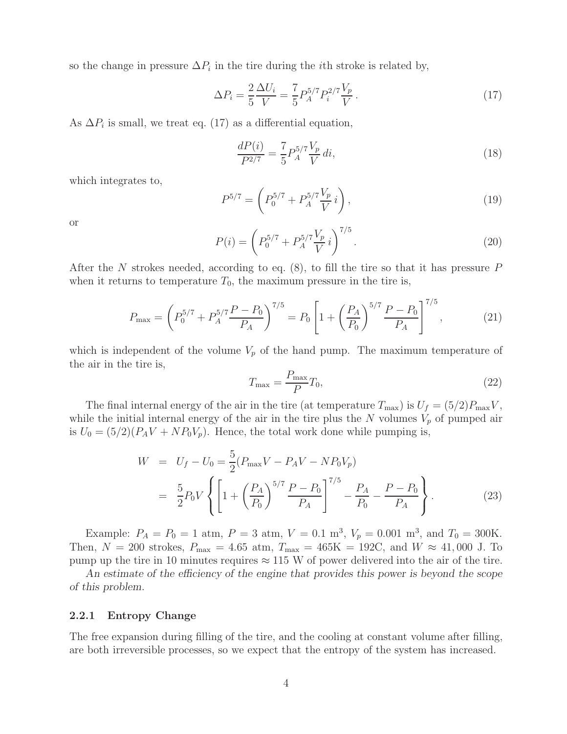so the change in pressure  $\Delta P_i$  in the tire during the *i*th stroke is related by,

$$
\Delta P_i = \frac{2}{5} \frac{\Delta U_i}{V} = \frac{7}{5} P_A^{5/7} P_i^{2/7} \frac{V_p}{V} \,. \tag{17}
$$

As  $\Delta P_i$  is small, we treat eq. (17) as a differential equation,

$$
\frac{dP(i)}{P^{2/7}} = \frac{7}{5} P_A^{5/7} \frac{V_p}{V} di,\tag{18}
$$

which integrates to,

$$
P^{5/7} = \left(P_0^{5/7} + P_A^{5/7} \frac{V_p}{V} i\right),\tag{19}
$$

or

$$
P(i) = \left(P_0^{5/7} + P_A^{5/7} \frac{V_p}{V} i\right)^{7/5}.
$$
\n(20)

After the N strokes needed, according to eq.  $(8)$ , to fill the tire so that it has pressure P when it returns to temperature  $T_0$ , the maximum pressure in the tire is,

$$
P_{\text{max}} = \left(P_0^{5/7} + P_A^{5/7} \frac{P - P_0}{P_A}\right)^{7/5} = P_0 \left[1 + \left(\frac{P_A}{P_0}\right)^{5/7} \frac{P - P_0}{P_A}\right]^{7/5},\tag{21}
$$

which is independent of the volume  $V_p$  of the hand pump. The maximum temperature of the air in the tire is,

$$
T_{\text{max}} = \frac{P_{\text{max}}}{P} T_0,\tag{22}
$$

The final internal energy of the air in the tire (at temperature  $T_{\text{max}}$ ) is  $U_f = (5/2)P_{\text{max}}V$ , while the initial internal energy of the air in the tire plus the N volumes  $V_p$  of pumped air is  $U_0 = (5/2)(P_A V + N P_0 V_p)$ . Hence, the total work done while pumping is,

$$
W = U_f - U_0 = \frac{5}{2} (P_{\text{max}} V - P_A V - N P_0 V_p)
$$
  
=  $\frac{5}{2} P_0 V \left\{ \left[ 1 + \left( \frac{P_A}{P_0} \right)^{5/7} \frac{P - P_0}{P_A} \right]^{7/5} - \frac{P_A}{P_0} - \frac{P - P_0}{P_A} \right\}.$  (23)

Example:  $P_A = P_0 = 1$  atm,  $P = 3$  atm,  $V = 0.1$  m<sup>3</sup>,  $V_p = 0.001$  m<sup>3</sup>, and  $T_0 = 300$ K. Then,  $N = 200$  strokes,  $P_{\text{max}} = 4.65$  atm,  $T_{\text{max}} = 465$ K = 192C, and  $W \approx 41,000$  J. To pump up the tire in 10 minutes requires  $\approx 115$  W of power delivered into the air of the tire.

*An estimate of the efficiency of the engine that provides this power is beyond the scope of this problem.*

#### **2.2.1 Entropy Change**

The free expansion during filling of the tire, and the cooling at constant volume after filling, are both irreversible processes, so we expect that the entropy of the system has increased.